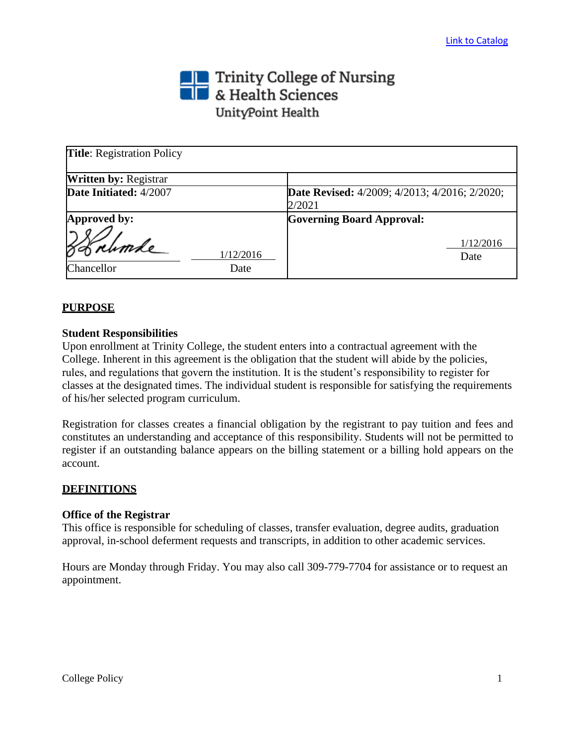# Trinity College of Nursing<br> **The State Sciences** UnityPoint Health

| <b>Title:</b> Registration Policy |                   |                                                                |                   |
|-----------------------------------|-------------------|----------------------------------------------------------------|-------------------|
| <b>Written by: Registrar</b>      |                   |                                                                |                   |
| Date Initiated: 4/2007            |                   | <b>Date Revised:</b> 4/2009; 4/2013; 4/2016; 2/2020;<br>2/2021 |                   |
| Approved by:                      |                   | <b>Governing Board Approval:</b>                               |                   |
| Chancellor                        | 1/12/2016<br>Date |                                                                | 1/12/2016<br>Date |

# **PURPOSE**

## **Student Responsibilities**

Upon enrollment at Trinity College, the student enters into a contractual agreement with the College. Inherent in this agreement is the obligation that the student will abide by the policies, rules, and regulations that govern the institution. It is the student's responsibility to register for classes at the designated times. The individual student is responsible for satisfying the requirements of his/her selected program curriculum.

Registration for classes creates a financial obligation by the registrant to pay tuition and fees and constitutes an understanding and acceptance of this responsibility. Students will not be permitted to register if an outstanding balance appears on the billing statement or a billing hold appears on the account.

## **DEFINITIONS**

#### **Office of the Registrar**

This office is responsible for scheduling of classes, transfer evaluation, degree audits, graduation approval, in-school deferment requests and transcripts, in addition to other academic services.

Hours are Monday through Friday. You may also call 309-779-7704 for assistance or to request an appointment.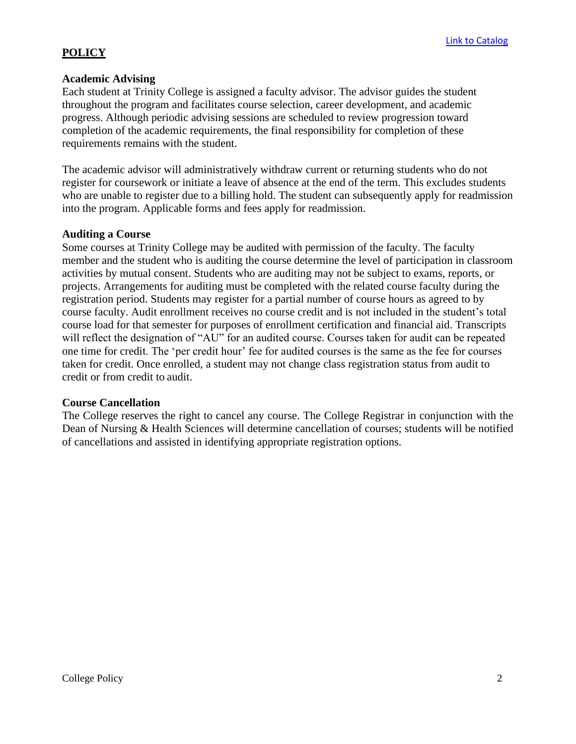# **POLICY**

#### **Academic Advising**

Each student at Trinity College is assigned a faculty advisor. The advisor guides the student throughout the program and facilitates course selection, career development, and academic progress. Although periodic advising sessions are scheduled to review progression toward completion of the academic requirements, the final responsibility for completion of these requirements remains with the student.

The academic advisor will administratively withdraw current or returning students who do not register for coursework or initiate a leave of absence at the end of the term. This excludes students who are unable to register due to a billing hold. The student can subsequently apply for readmission into the program. Applicable forms and fees apply for readmission.

#### **Auditing a Course**

Some courses at Trinity College may be audited with permission of the faculty. The faculty member and the student who is auditing the course determine the level of participation in classroom activities by mutual consent. Students who are auditing may not be subject to exams, reports, or projects. Arrangements for auditing must be completed with the related course faculty during the registration period. Students may register for a partial number of course hours as agreed to by course faculty. Audit enrollment receives no course credit and is not included in the student's total course load for that semester for purposes of enrollment certification and financial aid. Transcripts will reflect the designation of "AU" for an audited course. Courses taken for audit can be repeated one time for credit. The 'per credit hour' fee for audited courses is the same as the fee for courses taken for credit. Once enrolled, a student may not change class registration status from audit to credit or from credit to audit.

#### **Course Cancellation**

The College reserves the right to cancel any course. The College Registrar in conjunction with the Dean of Nursing & Health Sciences will determine cancellation of courses; students will be notified of cancellations and assisted in identifying appropriate registration options.